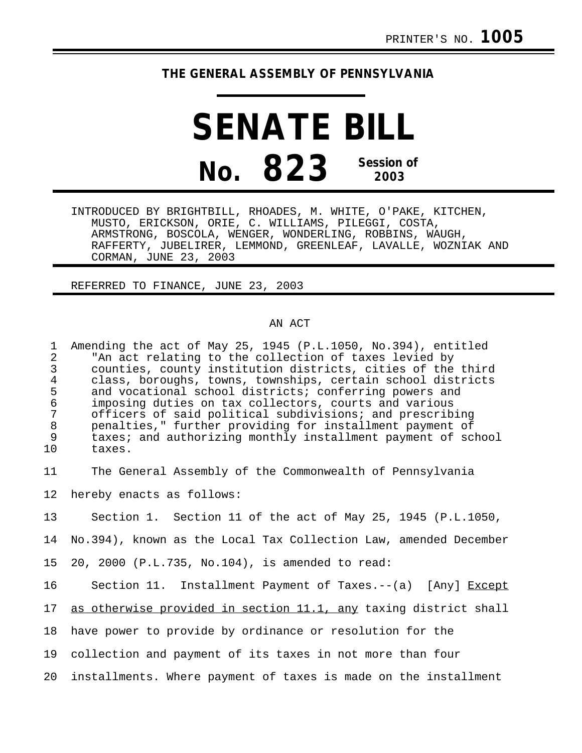## **THE GENERAL ASSEMBLY OF PENNSYLVANIA**

**SENATE BILL No. 823 Session of 2003**

INTRODUCED BY BRIGHTBILL, RHOADES, M. WHITE, O'PAKE, KITCHEN, MUSTO, ERICKSON, ORIE, C. WILLIAMS, PILEGGI, COSTA, ARMSTRONG, BOSCOLA, WENGER, WONDERLING, ROBBINS, WAUGH, RAFFERTY, JUBELIRER, LEMMOND, GREENLEAF, LAVALLE, WOZNIAK AND CORMAN, JUNE 23, 2003

REFERRED TO FINANCE, JUNE 23, 2003

## AN ACT

1 Amending the act of May 25, 1945 (P.L.1050, No.394), entitled<br>2 TAn act relating to the collection of taxes levied by 2 The act relating to the collection of taxes levied by<br>3 counties, county institution districts, cities of the 3 counties, county institution districts, cities of the third 4 class, boroughs, towns, townships, certain school districts<br>5 and vocational school districts; conferring powers and 5 and vocational school districts; conferring powers and<br>6 imposing duties on tax collectors, courts and various 6 imposing duties on tax collectors, courts and various officers of said political subdivisions; and prescribing 8 penalties," further providing for installment payment of 9 taxes; and authorizing monthly installment payment of school<br>10 taxes. taxes.

11 The General Assembly of the Commonwealth of Pennsylvania

12 hereby enacts as follows:

13 Section 1. Section 11 of the act of May 25, 1945 (P.L.1050,

14 No.394), known as the Local Tax Collection Law, amended December

15 20, 2000 (P.L.735, No.104), is amended to read:

16 Section 11. Installment Payment of Taxes.--(a) [Any] Except

17 as otherwise provided in section 11.1, any taxing district shall

18 have power to provide by ordinance or resolution for the

19 collection and payment of its taxes in not more than four

20 installments. Where payment of taxes is made on the installment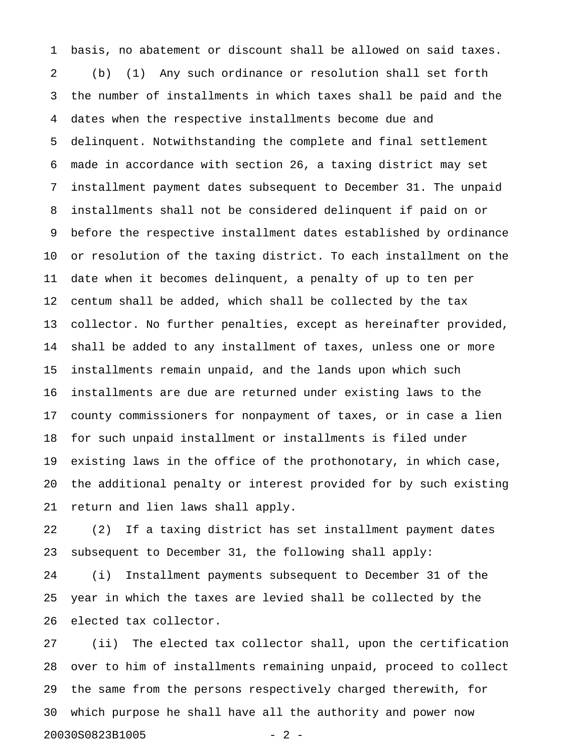1 basis, no abatement or discount shall be allowed on said taxes. 2 (b) (1) Any such ordinance or resolution shall set forth 3 the number of installments in which taxes shall be paid and the 4 dates when the respective installments become due and 5 delinquent. Notwithstanding the complete and final settlement 6 made in accordance with section 26, a taxing district may set 7 installment payment dates subsequent to December 31. The unpaid 8 installments shall not be considered delinquent if paid on or 9 before the respective installment dates established by ordinance 10 or resolution of the taxing district. To each installment on the 11 date when it becomes delinquent, a penalty of up to ten per 12 centum shall be added, which shall be collected by the tax 13 collector. No further penalties, except as hereinafter provided, 14 shall be added to any installment of taxes, unless one or more 15 installments remain unpaid, and the lands upon which such 16 installments are due are returned under existing laws to the 17 county commissioners for nonpayment of taxes, or in case a lien 18 for such unpaid installment or installments is filed under 19 existing laws in the office of the prothonotary, in which case, 20 the additional penalty or interest provided for by such existing 21 return and lien laws shall apply.

22 (2) If a taxing district has set installment payment dates 23 subsequent to December 31, the following shall apply:

24 (i) Installment payments subsequent to December 31 of the 25 year in which the taxes are levied shall be collected by the 26 elected tax collector.

27 (ii) The elected tax collector shall, upon the certification 28 over to him of installments remaining unpaid, proceed to collect 29 the same from the persons respectively charged therewith, for 30 which purpose he shall have all the authority and power now 20030S0823B1005 - 2 -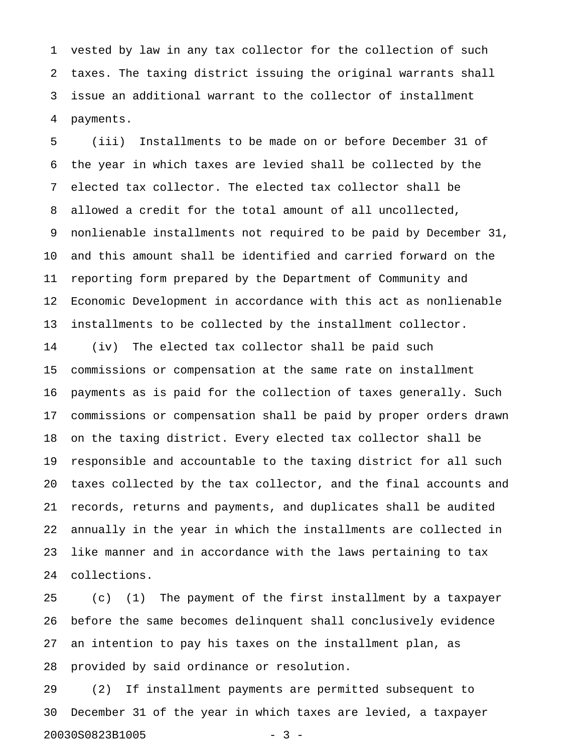1 vested by law in any tax collector for the collection of such 2 taxes. The taxing district issuing the original warrants shall 3 issue an additional warrant to the collector of installment 4 payments.

5 (iii) Installments to be made on or before December 31 of 6 the year in which taxes are levied shall be collected by the 7 elected tax collector. The elected tax collector shall be 8 allowed a credit for the total amount of all uncollected, 9 nonlienable installments not required to be paid by December 31, 10 and this amount shall be identified and carried forward on the 11 reporting form prepared by the Department of Community and 12 Economic Development in accordance with this act as nonlienable 13 installments to be collected by the installment collector. 14 (iv) The elected tax collector shall be paid such

15 commissions or compensation at the same rate on installment 16 payments as is paid for the collection of taxes generally. Such 17 commissions or compensation shall be paid by proper orders drawn 18 on the taxing district. Every elected tax collector shall be 19 responsible and accountable to the taxing district for all such 20 taxes collected by the tax collector, and the final accounts and 21 records, returns and payments, and duplicates shall be audited 22 annually in the year in which the installments are collected in 23 like manner and in accordance with the laws pertaining to tax 24 collections.

25 (c) (1) The payment of the first installment by a taxpayer 26 before the same becomes delinquent shall conclusively evidence 27 an intention to pay his taxes on the installment plan, as 28 provided by said ordinance or resolution.

29 (2) If installment payments are permitted subsequent to 30 December 31 of the year in which taxes are levied, a taxpayer 20030S0823B1005 - 3 -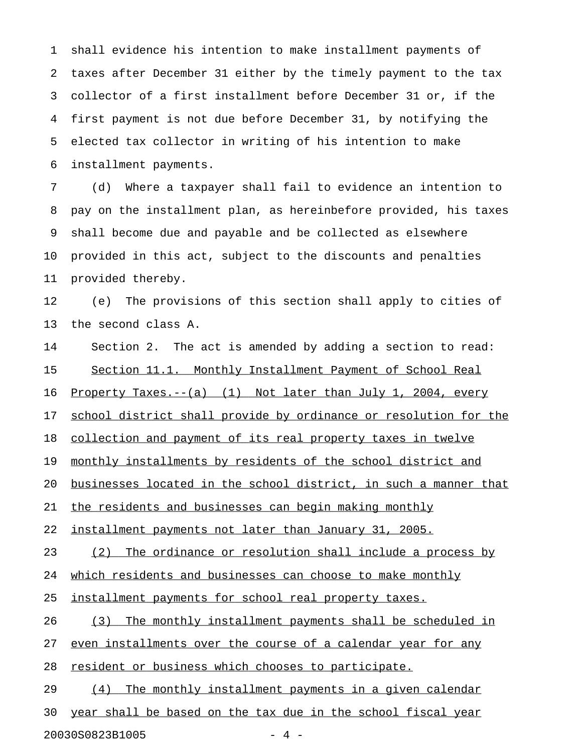1 shall evidence his intention to make installment payments of 2 taxes after December 31 either by the timely payment to the tax 3 collector of a first installment before December 31 or, if the 4 first payment is not due before December 31, by notifying the 5 elected tax collector in writing of his intention to make 6 installment payments.

7 (d) Where a taxpayer shall fail to evidence an intention to 8 pay on the installment plan, as hereinbefore provided, his taxes 9 shall become due and payable and be collected as elsewhere 10 provided in this act, subject to the discounts and penalties 11 provided thereby.

12 (e) The provisions of this section shall apply to cities of 13 the second class A.

14 Section 2. The act is amended by adding a section to read: 15 Section 11.1. Monthly Installment Payment of School Real 16 Property Taxes.--(a) (1) Not later than July 1, 2004, every 17 school district shall provide by ordinance or resolution for the 18 collection and payment of its real property taxes in twelve 19 monthly installments by residents of the school district and 20 <u>businesses located in the school district, in such a manner that</u> 21 the residents and businesses can begin making monthly 22 installment payments not later than January 31, 2005. 23 (2) The ordinance or resolution shall include a process by 24 which residents and businesses can choose to make monthly 25 installment payments for school real property taxes. 26 (3) The monthly installment payments shall be scheduled in 27 even installments over the course of a calendar year for any 28 resident or business which chooses to participate. 29 (4) The monthly installment payments in a given calendar 30 year shall be based on the tax due in the school fiscal year 20030S0823B1005 - 4 -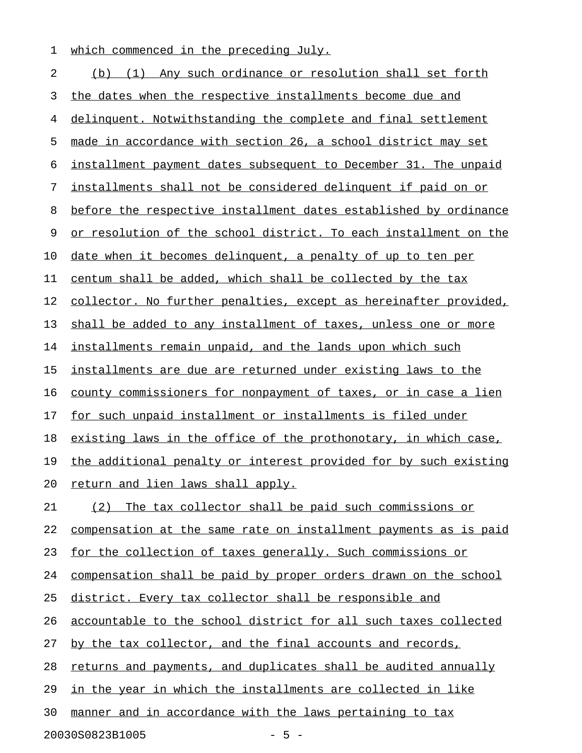1 which commenced in the preceding July.

2 (b) (1) Any such ordinance or resolution shall set forth 3 the dates when the respective installments become due and 4 delinquent. Notwithstanding the complete and final settlement 5 made in accordance with section 26, a school district may set 6 installment payment dates subsequent to December 31. The unpaid 7 installments shall not be considered delinquent if paid on or 8 before the respective installment dates established by ordinance 9 or resolution of the school district. To each installment on the 10 date when it becomes delinquent, a penalty of up to ten per 11 centum shall be added, which shall be collected by the tax 12 collector. No further penalties, except as hereinafter provided, 13 shall be added to any installment of taxes, unless one or more 14 installments remain unpaid, and the lands upon which such 15 installments are due are returned under existing laws to the 16 county commissioners for nonpayment of taxes, or in case a lien 17 for such unpaid installment or installments is filed under 18 existing laws in the office of the prothonotary, in which case, 19 the additional penalty or interest provided for by such existing 20 return and lien laws shall apply. 21 (2) The tax collector shall be paid such commissions or 22 compensation at the same rate on installment payments as is paid 23 for the collection of taxes generally. Such commissions or 24 compensation shall be paid by proper orders drawn on the school 25 district. Every tax collector shall be responsible and 26 accountable to the school district for all such taxes collected 27 by the tax collector, and the final accounts and records, 28 returns and payments, and duplicates shall be audited annually 29 in the year in which the installments are collected in like 30 manner and in accordance with the laws pertaining to tax

20030S0823B1005 - 5 -